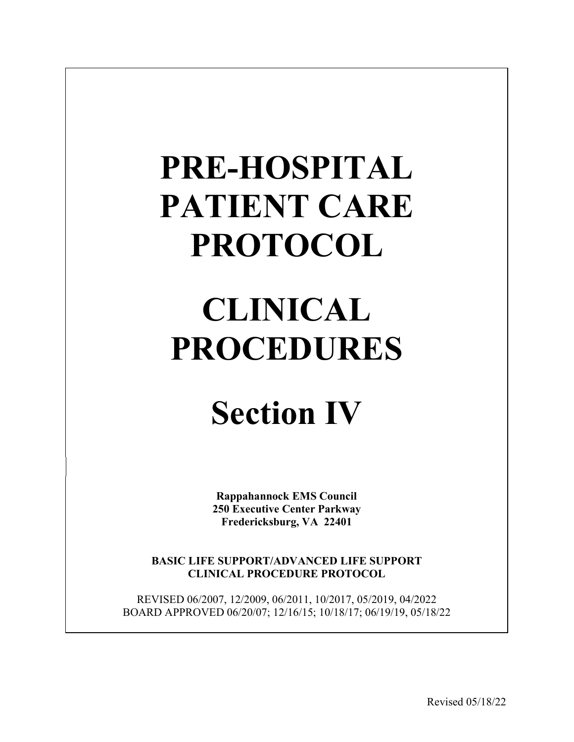# **PRE-HOSPITAL PATIENT CARE PROTOCOL**

# **CLINICAL PROCEDURES**

# **Section IV**

**Rappahannock EMS Council 250 Executive Center Parkway Fredericksburg, VA 22401**

**BASIC LIFE SUPPORT/ADVANCED LIFE SUPPORT CLINICAL PROCEDURE PROTOCOL**

REVISED 06/2007, 12/2009, 06/2011, 10/2017, 05/2019, 04/2022 BOARD APPROVED 06/20/07; 12/16/15; 10/18/17; 06/19/19, 05/18/22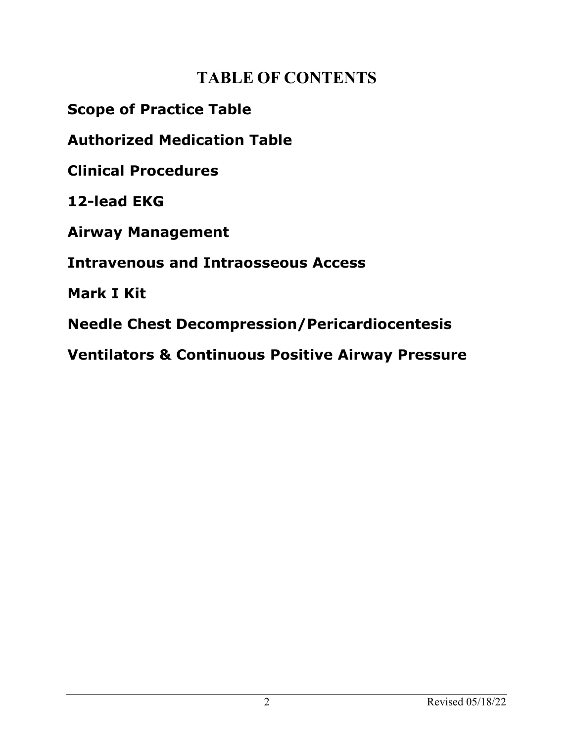## **TABLE OF CONTENTS**

**Scope of Practice Table**

**Authorized Medication Table**

**Clinical Procedures**

**12-lead EKG**

**Airway Management**

**Intravenous and Intraosseous Access**

**Mark I Kit**

**Needle Chest Decompression/Pericardiocentesis**

**Ventilators & Continuous Positive Airway Pressure**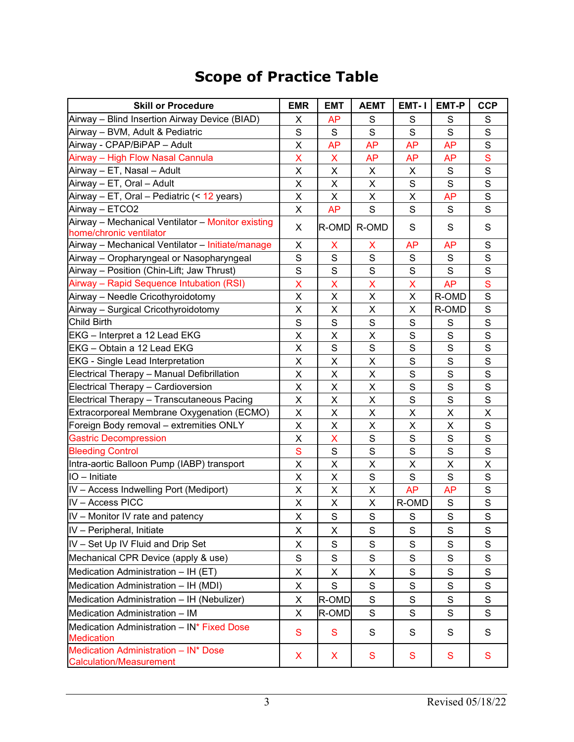## **Scope of Practice Table**

| <b>Skill or Procedure</b>                                                    | <b>EMR</b>              | <b>EMT</b>  | <b>AEMT</b>  | EMT-1       | <b>EMT-P</b> | <b>CCP</b>                                                                                                                                                                                                                                                                                                                                                                                                                                               |
|------------------------------------------------------------------------------|-------------------------|-------------|--------------|-------------|--------------|----------------------------------------------------------------------------------------------------------------------------------------------------------------------------------------------------------------------------------------------------------------------------------------------------------------------------------------------------------------------------------------------------------------------------------------------------------|
| Airway - Blind Insertion Airway Device (BIAD)                                | X                       | AP          | S            | S           | S            | S                                                                                                                                                                                                                                                                                                                                                                                                                                                        |
| Airway - BVM, Adult & Pediatric                                              | $\mathbf S$             | S           | $\mathbf S$  | S           | S            | $\mathbf S$                                                                                                                                                                                                                                                                                                                                                                                                                                              |
| Airway - CPAP/BiPAP - Adult                                                  | X                       | <b>AP</b>   | <b>AP</b>    | <b>AP</b>   | <b>AP</b>    | $\mathsf{S}$                                                                                                                                                                                                                                                                                                                                                                                                                                             |
| Airway - High Flow Nasal Cannula                                             | X                       | X           | <b>AP</b>    | <b>AP</b>   | <b>AP</b>    | ${\mathsf S}$                                                                                                                                                                                                                                                                                                                                                                                                                                            |
| Airway - ET, Nasal - Adult                                                   | X                       | X           | X            | X           | S            | $\mathbf S$                                                                                                                                                                                                                                                                                                                                                                                                                                              |
| Airway - ET, Oral - Adult                                                    | X                       | X           | X            | S           | S            | S                                                                                                                                                                                                                                                                                                                                                                                                                                                        |
| Airway - ET, Oral - Pediatric (< 12 years)                                   | X                       | X           | X            | X           | <b>AP</b>    | $\mathbf S$                                                                                                                                                                                                                                                                                                                                                                                                                                              |
| Airway - ETCO2                                                               | $\overline{\mathsf{X}}$ | <b>AP</b>   | S            | S           | S            | $\overline{s}$                                                                                                                                                                                                                                                                                                                                                                                                                                           |
| Airway - Mechanical Ventilator - Monitor existing<br>home/chronic ventilator | X                       | R-OMD       | R-OMD        | S           | S            | $\mathsf S$                                                                                                                                                                                                                                                                                                                                                                                                                                              |
| Airway - Mechanical Ventilator - Initiate/manage                             | X                       | X           | X            | <b>AP</b>   | AP           | S                                                                                                                                                                                                                                                                                                                                                                                                                                                        |
| Airway - Oropharyngeal or Nasopharyngeal                                     | S                       | S           | S            | S           | S            | $\mathsf{S}$                                                                                                                                                                                                                                                                                                                                                                                                                                             |
| Airway - Position (Chin-Lift; Jaw Thrust)                                    | S                       | S           | $\mathsf{S}$ | S           | S            | $\mathsf{S}$                                                                                                                                                                                                                                                                                                                                                                                                                                             |
| Airway - Rapid Sequence Intubation (RSI)                                     | X                       | X           | X            | X           | AP           | S                                                                                                                                                                                                                                                                                                                                                                                                                                                        |
| Airway - Needle Cricothyroidotomy                                            | X                       | X           | X            | X           | R-OMD        | $\mathsf{S}$                                                                                                                                                                                                                                                                                                                                                                                                                                             |
| Airway - Surgical Cricothyroidotomy                                          | X                       | X           | X            | X           | R-OMD        | $\mathsf{S}$                                                                                                                                                                                                                                                                                                                                                                                                                                             |
| <b>Child Birth</b>                                                           | $\mathbf S$             | $\mathbf S$ | $\mathsf S$  | S           | S            | $\mathbf S$                                                                                                                                                                                                                                                                                                                                                                                                                                              |
| EKG - Interpret a 12 Lead EKG                                                | X                       | $\mathsf X$ | X            | $\mathbf S$ | S            | $\mathsf{S}$                                                                                                                                                                                                                                                                                                                                                                                                                                             |
| EKG - Obtain a 12 Lead EKG                                                   | X                       | S           | S            | S           | S            | S                                                                                                                                                                                                                                                                                                                                                                                                                                                        |
| <b>EKG</b> - Single Lead Interpretation                                      | X                       | X           | X            | S           | S            | $\mathsf{S}$                                                                                                                                                                                                                                                                                                                                                                                                                                             |
| Electrical Therapy - Manual Defibrillation                                   | X                       | X           | X            | S           | S            | $\mathsf{S}% _{T}=\mathsf{S}_{T}\!\left( a,b\right) ,\ \mathsf{S}_{T}=\mathsf{S}_{T}\!\left( a,b\right) ,\ \mathsf{S}_{T}=\mathsf{S}_{T}\!\left( a,b\right) ,\ \mathsf{S}_{T}=\mathsf{S}_{T}\!\left( a,b\right) ,\ \mathsf{S}_{T}=\mathsf{S}_{T}\!\left( a,b\right) ,\ \mathsf{S}_{T}=\mathsf{S}_{T}\!\left( a,b\right) ,\ \mathsf{S}_{T}=\mathsf{S}_{T}\!\left( a,b\right) ,\ \mathsf{S}_{T}=\mathsf{S}_{T}\!\left( a,b\right) ,\ \mathsf{S}_{T}=\math$ |
| Electrical Therapy - Cardioversion                                           | X                       | X           | Χ            | S           | S            | $\mathbf S$                                                                                                                                                                                                                                                                                                                                                                                                                                              |
| Electrical Therapy - Transcutaneous Pacing                                   | X                       | X           | Χ            | $\mathbf S$ | $\mathbf S$  | $\mathsf{S}$                                                                                                                                                                                                                                                                                                                                                                                                                                             |
| Extracorporeal Membrane Oxygenation (ECMO)                                   | X                       | X           | Χ            | X           | X            | X                                                                                                                                                                                                                                                                                                                                                                                                                                                        |
| Foreign Body removal - extremities ONLY                                      | X                       | X           | X            | X           | X            | $\mathsf{S}$                                                                                                                                                                                                                                                                                                                                                                                                                                             |
| <b>Gastric Decompression</b>                                                 | X                       | X           | $\mathbf S$  | S           | S            | $\mathsf S$                                                                                                                                                                                                                                                                                                                                                                                                                                              |
| <b>Bleeding Control</b>                                                      | S                       | S           | $\mathsf{S}$ | S           | S            | $\mathsf{S}$                                                                                                                                                                                                                                                                                                                                                                                                                                             |
| Intra-aortic Balloon Pump (IABP) transport                                   | X                       | X           | X            | X           | X            | X                                                                                                                                                                                                                                                                                                                                                                                                                                                        |
| IO - Initiate                                                                | X                       | X           | $\mathbf S$  | S           | S            | $\mathbf S$                                                                                                                                                                                                                                                                                                                                                                                                                                              |
| IV - Access Indwelling Port (Mediport)                                       | X                       | X           | Χ            | <b>AP</b>   | <b>AP</b>    | $\mathsf{S}$                                                                                                                                                                                                                                                                                                                                                                                                                                             |
| IV - Access PICC                                                             | X                       | X           | X            | R-OMD       | S            | $\mathbf S$                                                                                                                                                                                                                                                                                                                                                                                                                                              |
| IV - Monitor IV rate and patency                                             | X                       | $\mathbf S$ | $\mathbf S$  | $\mathbf S$ | $\mathbf S$  | $\mathbf S$                                                                                                                                                                                                                                                                                                                                                                                                                                              |
| IV - Peripheral, Initiate                                                    | X                       | X           | S            | S           | S            | $\mathsf S$                                                                                                                                                                                                                                                                                                                                                                                                                                              |
| IV - Set Up IV Fluid and Drip Set                                            | X                       | $\mathsf S$ | $\mathbf S$  | $\mathbf S$ | S            | $\mathsf S$                                                                                                                                                                                                                                                                                                                                                                                                                                              |
| Mechanical CPR Device (apply & use)                                          | S                       | S           | S            | S           | S            | S                                                                                                                                                                                                                                                                                                                                                                                                                                                        |
| Medication Administration - IH (ET)                                          | X                       | X           | X            | S           | S            | S                                                                                                                                                                                                                                                                                                                                                                                                                                                        |
| Medication Administration - IH (MDI)                                         | X                       | $\mathsf S$ | S            | S           | S            | S                                                                                                                                                                                                                                                                                                                                                                                                                                                        |
| Medication Administration - IH (Nebulizer)                                   | X                       | R-OMD       | $\mathbf S$  | S           | S            | S                                                                                                                                                                                                                                                                                                                                                                                                                                                        |
| Medication Administration - IM                                               | X                       | R-OMD       | $\mathbf S$  | S           | S            | S                                                                                                                                                                                                                                                                                                                                                                                                                                                        |
| Medication Administration - IN* Fixed Dose<br><b>Medication</b>              | S                       | S           | S            | S           | S            | S                                                                                                                                                                                                                                                                                                                                                                                                                                                        |
| Medication Administration - IN* Dose<br><b>Calculation/Measurement</b>       | X                       | X.          | S            | S           | S            | S                                                                                                                                                                                                                                                                                                                                                                                                                                                        |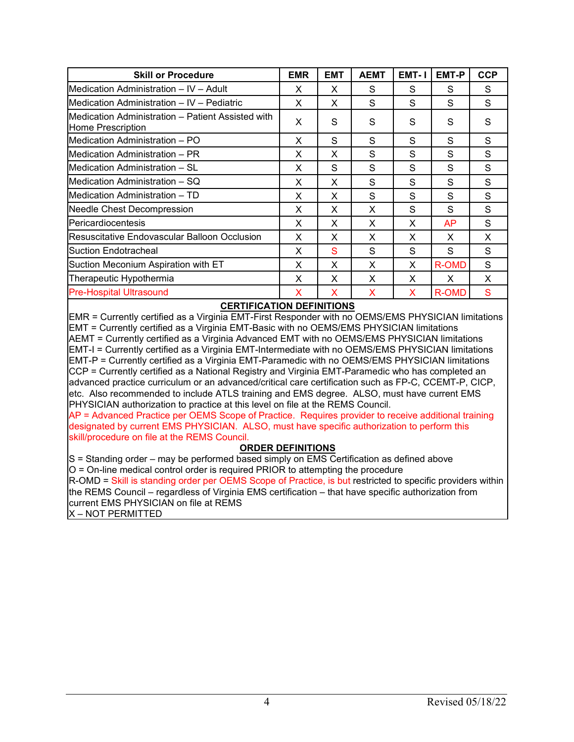| <b>Skill or Procedure</b>                                               | <b>EMR</b> | <b>EMT</b> | <b>AEMT</b> | EMT-1 | EMT-P        | <b>CCP</b> |
|-------------------------------------------------------------------------|------------|------------|-------------|-------|--------------|------------|
| IMedication Administration – IV – Adult                                 | X          | X          | S           | S     | S            | S          |
| IMedication Administration – IV – Pediatric                             | X          | X          | S           | S     | S            | S          |
| IMedication Administration – Patient Assisted with<br>Home Prescription | X          | S          | S           | S     | S            | S          |
| Medication Administration - PO                                          | X          | S          | S           | S     | S            | S          |
| Medication Administration - PR                                          | X          | X          | S           | S     | S            | S          |
| IMedication Administration – SL                                         | X          | S          | S           | S     | S            | S          |
| IMedication Administration – SQ                                         | X          | X          | S           | S     | S            | S          |
| IMedication Administration – TD                                         | X          | X          | S           | S     | S            | S          |
| Needle Chest Decompression                                              | X          | X          | X           | S     | S            | S          |
| Pericardiocentesis                                                      | X          | X          | X           | X     | AP           | S          |
| lResuscitative Endovascular Balloon Occlusion                           | X          | X          | X           | X     | X            | X          |
| lSuction Endotracheal                                                   | X          | S          | S           | S     | S            | S          |
| Suction Meconium Aspiration with ET                                     | х          | X          | X           | X     | <b>R-OMD</b> | S          |
| Therapeutic Hypothermia                                                 | X          | X          | X           | X     | X            | X          |
| <b>Pre-Hospital Ultrasound</b>                                          | X          | X          | X           | X     | <b>R-OMD</b> | S          |

### **CERTIFICATION DEFINITIONS**

EMR = Currently certified as a Virginia EMT-First Responder with no OEMS/EMS PHYSICIAN limitations EMT = Currently certified as a Virginia EMT-Basic with no OEMS/EMS PHYSICIAN limitations AEMT = Currently certified as a Virginia Advanced EMT with no OEMS/EMS PHYSICIAN limitations EMT-I = Currently certified as a Virginia EMT-Intermediate with no OEMS/EMS PHYSICIAN limitations EMT-P = Currently certified as a Virginia EMT-Paramedic with no OEMS/EMS PHYSICIAN limitations CCP = Currently certified as a National Registry and Virginia EMT-Paramedic who has completed an advanced practice curriculum or an advanced/critical care certification such as FP-C, CCEMT-P, CICP, etc. Also recommended to include ATLS training and EMS degree. ALSO, must have current EMS PHYSICIAN authorization to practice at this level on file at the REMS Council.

AP = Advanced Practice per OEMS Scope of Practice. Requires provider to receive additional training designated by current EMS PHYSICIAN. ALSO, must have specific authorization to perform this skill/procedure on file at the REMS Council.

### **ORDER DEFINITIONS**

S = Standing order – may be performed based simply on EMS Certification as defined above O = On-line medical control order is required PRIOR to attempting the procedure R-OMD = Skill is standing order per OEMS Scope of Practice, is but restricted to specific providers within the REMS Council – regardless of Virginia EMS certification – that have specific authorization from current EMS PHYSICIAN on file at REMS X – NOT PERMITTED